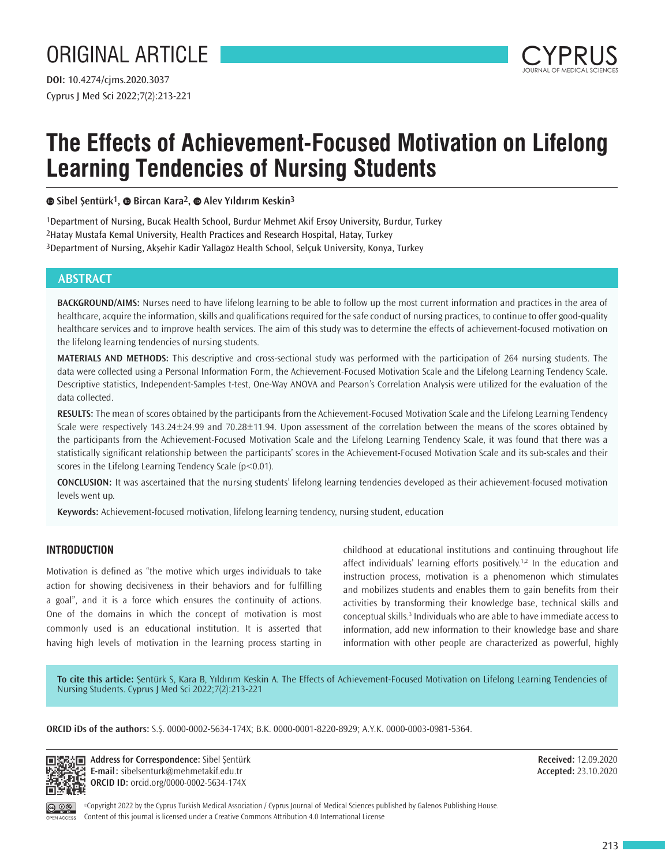# ORIGINAL ARTICLE

Cyprus J Med Sci 2022;7(2):213-221 **DOI:** 10.4274/cjms.2020.3037



# **The Effects of Achievement-Focused Motivation on Lifelong Learning Tendencies of Nursing Students**

# **Sibel Şentürk1,Bircan Kara2,Alev Yıldırım Keskin3**

1Department of Nursing, Bucak Health School, Burdur Mehmet Akif Ersoy University, Burdur, Turkey 2Hatay Mustafa Kemal University, Health Practices and Research Hospital, Hatay, Turkey 3Department of Nursing, Akşehir Kadir Yallagöz Health School, Selçuk University, Konya, Turkey

# **ABSTRACT**

**BACKGROUND/AIMS:** Nurses need to have lifelong learning to be able to follow up the most current information and practices in the area of healthcare, acquire the information, skills and qualifications required for the safe conduct of nursing practices, to continue to offer good-quality healthcare services and to improve health services. The aim of this study was to determine the effects of achievement-focused motivation on the lifelong learning tendencies of nursing students.

**MATERIALS AND METHODS:** This descriptive and cross-sectional study was performed with the participation of 264 nursing students. The data were collected using a Personal Information Form, the Achievement-Focused Motivation Scale and the Lifelong Learning Tendency Scale. Descriptive statistics, Independent-Samples t-test, One-Way ANOVA and Pearson's Correlation Analysis were utilized for the evaluation of the data collected.

**RESULTS:** The mean of scores obtained by the participants from the Achievement-Focused Motivation Scale and the Lifelong Learning Tendency Scale were respectively 143.24±24.99 and 70.28±11.94. Upon assessment of the correlation between the means of the scores obtained by the participants from the Achievement-Focused Motivation Scale and the Lifelong Learning Tendency Scale, it was found that there was a statistically significant relationship between the participants' scores in the Achievement-Focused Motivation Scale and its sub-scales and their scores in the Lifelong Learning Tendency Scale (p<0.01).

**CONCLUSION:** It was ascertained that the nursing students' lifelong learning tendencies developed as their achievement-focused motivation levels went up.

**Keywords:** Achievement-focused motivation, lifelong learning tendency, nursing student, education

# **INTRODUCTION**

Motivation is defined as "the motive which urges individuals to take action for showing decisiveness in their behaviors and for fulfilling a goal", and it is a force which ensures the continuity of actions. One of the domains in which the concept of motivation is most commonly used is an educational institution. It is asserted that having high levels of motivation in the learning process starting in childhood at educational institutions and continuing throughout life affect individuals' learning efforts positively.<sup>1,2</sup> In the education and instruction process, motivation is a phenomenon which stimulates and mobilizes students and enables them to gain benefits from their activities by transforming their knowledge base, technical skills and conceptual skills.<sup>3</sup> Individuals who are able to have immediate access to information, add new information to their knowledge base and share information with other people are characterized as powerful, highly

**To cite this article:** Şentürk S, Kara B, Yıldırım Keskin A. The Effects of Achievement-Focused Motivation on Lifelong Learning Tendencies of Nursing Students. Cyprus J Med Sci 2022;7(2):213-221

**ORCID iDs of the authors:** S.Ş. 0000-0002-5634-174X; B.K. 0000-0001-8220-8929; A.Y.K. 0000-0003-0981-5364.

ान

Address for Correspondence: Sibel Sentürk **E-mail:** sibelsenturk@mehmetakif.edu.tr **ORCID ID:** orcid.org/0000-0002-5634-174X

**Received:** 12.09.2020 **Accepted:** 23.10.2020



©Copyright 2022 by the Cyprus Turkish Medical Association / Cyprus Journal of Medical Sciences published by Galenos Publishing House. Content of this journal is licensed under a Creative Commons Attribution 4.0 International License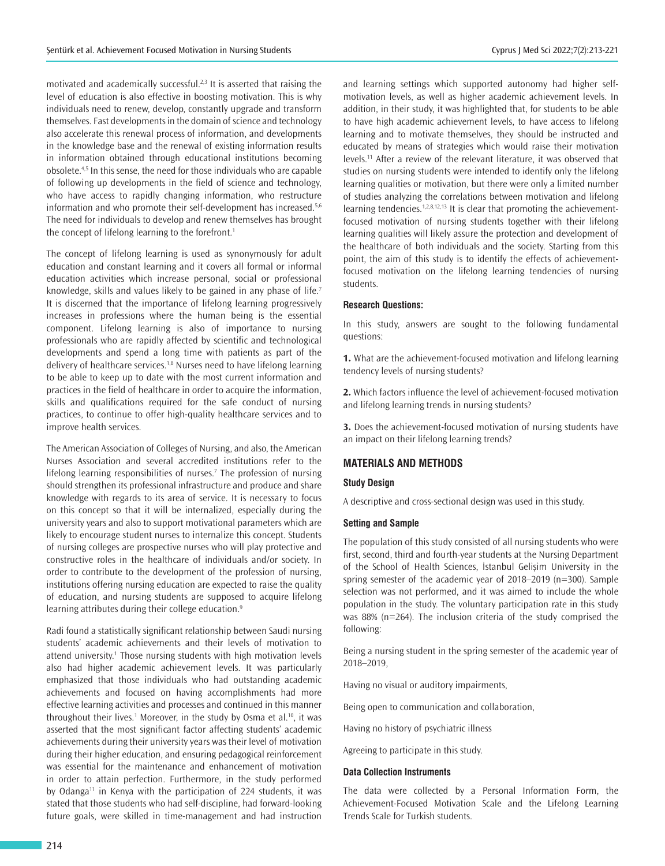motivated and academically successful.<sup>2,3</sup> It is asserted that raising the level of education is also effective in boosting motivation. This is why individuals need to renew, develop, constantly upgrade and transform themselves. Fast developments in the domain of science and technology also accelerate this renewal process of information, and developments in the knowledge base and the renewal of existing information results in information obtained through educational institutions becoming obsolete.4,5 In this sense, the need for those individuals who are capable of following up developments in the field of science and technology, who have access to rapidly changing information, who restructure information and who promote their self-development has increased.<sup>5,6</sup> The need for individuals to develop and renew themselves has brought the concept of lifelong learning to the forefront.<sup>1</sup>

The concept of lifelong learning is used as synonymously for adult education and constant learning and it covers all formal or informal education activities which increase personal, social or professional knowledge, skills and values likely to be gained in any phase of life.<sup>7</sup> It is discerned that the importance of lifelong learning progressively increases in professions where the human being is the essential component. Lifelong learning is also of importance to nursing professionals who are rapidly affected by scientific and technological developments and spend a long time with patients as part of the delivery of healthcare services.<sup>1,8</sup> Nurses need to have lifelong learning to be able to keep up to date with the most current information and practices in the field of healthcare in order to acquire the information, skills and qualifications required for the safe conduct of nursing practices, to continue to offer high-quality healthcare services and to improve health services.

The American Association of Colleges of Nursing, and also, the American Nurses Association and several accredited institutions refer to the lifelong learning responsibilities of nurses.<sup>7</sup> The profession of nursing should strengthen its professional infrastructure and produce and share knowledge with regards to its area of service. It is necessary to focus on this concept so that it will be internalized, especially during the university years and also to support motivational parameters which are likely to encourage student nurses to internalize this concept. Students of nursing colleges are prospective nurses who will play protective and constructive roles in the healthcare of individuals and/or society. In order to contribute to the development of the profession of nursing, institutions offering nursing education are expected to raise the quality of education, and nursing students are supposed to acquire lifelong learning attributes during their college education.<sup>9</sup>

Radi found a statistically significant relationship between Saudi nursing students' academic achievements and their levels of motivation to attend university.<sup>1</sup> Those nursing students with high motivation levels also had higher academic achievement levels. It was particularly emphasized that those individuals who had outstanding academic achievements and focused on having accomplishments had more effective learning activities and processes and continued in this manner throughout their lives.<sup>1</sup> Moreover, in the study by Osma et al.<sup>10</sup>, it was asserted that the most significant factor affecting students' academic achievements during their university years was their level of motivation during their higher education, and ensuring pedagogical reinforcement was essential for the maintenance and enhancement of motivation in order to attain perfection. Furthermore, in the study performed by Odanga<sup>11</sup> in Kenya with the participation of 224 students, it was stated that those students who had self-discipline, had forward-looking future goals, were skilled in time-management and had instruction

and learning settings which supported autonomy had higher selfmotivation levels, as well as higher academic achievement levels. In addition, in their study, it was highlighted that, for students to be able to have high academic achievement levels, to have access to lifelong learning and to motivate themselves, they should be instructed and educated by means of strategies which would raise their motivation levels.<sup>11</sup> After a review of the relevant literature, it was observed that studies on nursing students were intended to identify only the lifelong learning qualities or motivation, but there were only a limited number of studies analyzing the correlations between motivation and lifelong learning tendencies.<sup>1,2,8,12,13</sup> It is clear that promoting the achievementfocused motivation of nursing students together with their lifelong learning qualities will likely assure the protection and development of the healthcare of both individuals and the society. Starting from this point, the aim of this study is to identify the effects of achievementfocused motivation on the lifelong learning tendencies of nursing students.

#### **Research Questions:**

In this study, answers are sought to the following fundamental questions:

**1.** What are the achievement-focused motivation and lifelong learning tendency levels of nursing students?

**2.** Which factors influence the level of achievement-focused motivation and lifelong learning trends in nursing students?

**3.** Does the achievement-focused motivation of nursing students have an impact on their lifelong learning trends?

#### **MATERIALS AND METHODS**

### **Study Design**

A descriptive and cross-sectional design was used in this study.

## **Setting and Sample**

The population of this study consisted of all nursing students who were first, second, third and fourth-year students at the Nursing Department of the School of Health Sciences, İstanbul Gelişim University in the spring semester of the academic year of 2018–2019 (n=300). Sample selection was not performed, and it was aimed to include the whole population in the study. The voluntary participation rate in this study was 88% (n=264). The inclusion criteria of the study comprised the following:

Being a nursing student in the spring semester of the academic year of 2018–2019,

Having no visual or auditory impairments,

Being open to communication and collaboration,

Having no history of psychiatric illness

Agreeing to participate in this study.

#### **Data Collection Instruments**

The data were collected by a Personal Information Form, the Achievement-Focused Motivation Scale and the Lifelong Learning Trends Scale for Turkish students.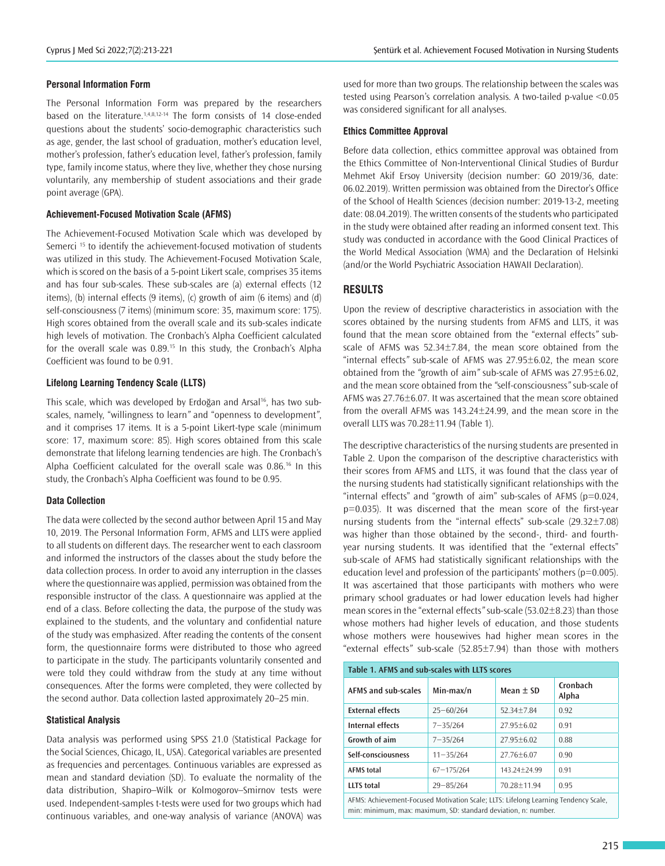## **Personal Information Form**

The Personal Information Form was prepared by the researchers based on the literature.1,4,8,12-14 The form consists of 14 close-ended questions about the students' socio-demographic characteristics such as age, gender, the last school of graduation, mother's education level, mother's profession, father's education level, father's profession, family type, family income status, where they live, whether they chose nursing voluntarily, any membership of student associations and their grade point average (GPA).

#### **Achievement-Focused Motivation Scale (AFMS)**

The Achievement-Focused Motivation Scale which was developed by Semerci<sup>15</sup> to identify the achievement-focused motivation of students was utilized in this study. The Achievement-Focused Motivation Scale, which is scored on the basis of a 5-point Likert scale, comprises 35 items and has four sub-scales. These sub-scales are (a) external effects (12 items), (b) internal effects (9 items), (c) growth of aim (6 items) and (d) self-consciousness (7 items) (minimum score: 35, maximum score: 175). High scores obtained from the overall scale and its sub-scales indicate high levels of motivation. The Cronbach's Alpha Coefficient calculated for the overall scale was 0.89.<sup>15</sup> In this study, the Cronbach's Alpha Coefficient was found to be 0.91.

#### **Lifelong Learning Tendency Scale (LLTS)**

This scale, which was developed by Erdoğan and Arsal<sup>16</sup>, has two subscales, namely, "willingness to learn*"* and "openness to development*"*, and it comprises 17 items. It is a 5-point Likert-type scale (minimum score: 17, maximum score: 85). High scores obtained from this scale demonstrate that lifelong learning tendencies are high. The Cronbach's Alpha Coefficient calculated for the overall scale was 0.86.<sup>16</sup> In this study, the Cronbach's Alpha Coefficient was found to be 0.95.

#### **Data Collection**

The data were collected by the second author between April 15 and May 10, 2019. The Personal Information Form, AFMS and LLTS were applied to all students on different days. The researcher went to each classroom and informed the instructors of the classes about the study before the data collection process. In order to avoid any interruption in the classes where the questionnaire was applied, permission was obtained from the responsible instructor of the class. A questionnaire was applied at the end of a class. Before collecting the data, the purpose of the study was explained to the students, and the voluntary and confidential nature of the study was emphasized. After reading the contents of the consent form, the questionnaire forms were distributed to those who agreed to participate in the study. The participants voluntarily consented and were told they could withdraw from the study at any time without consequences. After the forms were completed, they were collected by the second author. Data collection lasted approximately 20–25 min.

#### **Statistical Analysis**

Data analysis was performed using SPSS 21.0 (Statistical Package for the Social Sciences, Chicago, IL, USA). Categorical variables are presented as frequencies and percentages. Continuous variables are expressed as mean and standard deviation (SD). To evaluate the normality of the data distribution, Shapiro–Wilk or Kolmogorov–Smirnov tests were used. Independent-samples t-tests were used for two groups which had continuous variables, and one-way analysis of variance (ANOVA) was

used for more than two groups. The relationship between the scales was tested using Pearson's correlation analysis. A two-tailed p*-*value <0.05 was considered significant for all analyses.

#### **Ethics Committee Approval**

Before data collection, ethics committee approval was obtained from the Ethics Committee of Non-Interventional Clinical Studies of Burdur Mehmet Akif Ersoy University (decision number: GO 2019/36, date: 06.02.2019). Written permission was obtained from the Director's Office of the School of Health Sciences (decision number: 2019-13-2, meeting date: 08.04.2019). The written consents of the students who participated in the study were obtained after reading an informed consent text. This study was conducted in accordance with the Good Clinical Practices of the World Medical Association (WMA) and the Declaration of Helsinki (and/or the World Psychiatric Association HAWAII Declaration).

## **RESULTS**

Upon the review of descriptive characteristics in association with the scores obtained by the nursing students from AFMS and LLTS, it was found that the mean score obtained from the "external effects*"* subscale of AFMS was 52.34±7.84, the mean score obtained from the "internal effects*"* sub-scale of AFMS was 27.95±6.02, the mean score obtained from the *"*growth of aim*"* sub-scale of AFMS was 27.95±6.02, and the mean score obtained from the *"*self-consciousness*"* sub-scale of AFMS was 27.76±6.07. It was ascertained that the mean score obtained from the overall AFMS was 143.24±24.99, and the mean score in the overall LLTS was 70.28±11.94 (Table 1).

The descriptive characteristics of the nursing students are presented in Table 2. Upon the comparison of the descriptive characteristics with their scores from AFMS and LLTS, it was found that the class year of the nursing students had statistically significant relationships with the "internal effects" and "growth of aim" sub-scales of AFMS (p=0.024, p=0.035). It was discerned that the mean score of the first-year nursing students from the "internal effects" sub-scale (29.32±7.08) was higher than those obtained by the second-, third- and fourthyear nursing students. It was identified that the "external effects" sub-scale of AFMS had statistically significant relationships with the education level and profession of the participants' mothers ( $p=0.005$ ). It was ascertained that those participants with mothers who were primary school graduates or had lower education levels had higher mean scores in the "external effects*"* sub-scale (53.02±8.23) than those whose mothers had higher levels of education, and those students whose mothers were housewives had higher mean scores in the "external effects*"* sub-scale (52.85±7.94) than those with mothers

| Table 1. AFMS and sub-scales with LLTS scores                                      |                |                |                   |  |  |  |  |  |
|------------------------------------------------------------------------------------|----------------|----------------|-------------------|--|--|--|--|--|
| <b>AFMS and sub-scales</b>                                                         | $Min-max/n$    | Mean $\pm$ SD  | Cronbach<br>Alpha |  |  |  |  |  |
| <b>External effects</b>                                                            | $25 - 60/264$  | $52.34 + 7.84$ | 0.92              |  |  |  |  |  |
| Internal effects                                                                   | $7 - 35/264$   | $27.95 + 6.02$ | 0.91              |  |  |  |  |  |
| Growth of aim                                                                      | $7 - 35/264$   | $27.95 + 6.02$ | 0.88              |  |  |  |  |  |
| Self-consciousness                                                                 | $11 - 35/264$  | $27.76 + 6.07$ | 0.90              |  |  |  |  |  |
| <b>AFMS</b> total                                                                  | $67 - 175/264$ | 143.24+24.99   | 0.91              |  |  |  |  |  |
| <b>LLTS</b> total                                                                  | $29 - 85/264$  | 70.28±11.94    | 0.95              |  |  |  |  |  |
| AEMC: Addisconcept Famound Matinatine Carlo: HTC: Lifeland Languign Tandana: Carlo |                |                |                   |  |  |  |  |  |

AFMS: Achievement-Focused Motivation Scale; LLTS: Lifelong Learning Tendency Scale, min: minimum, max: maximum, SD: standard deviation, n: number.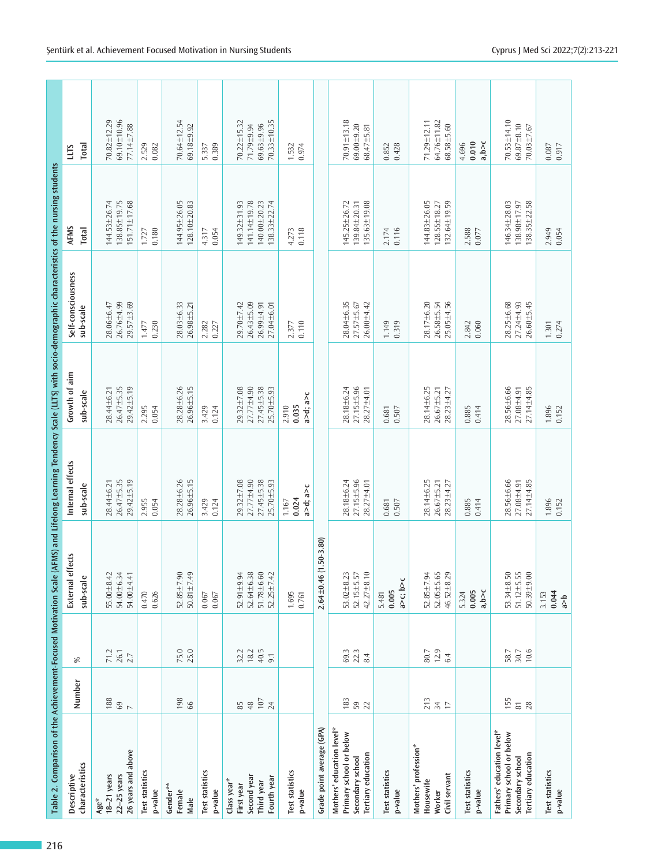| Table 2. Comparison of the Achievement-Focused Motivation Scale (AFMS) and Lifelong Learning Tendency Scale (LLTS) with socio-demographic characteristics of the nursing students<br>216 |                                                             |                               |                                                            |                                                          |                                                                |                                                                    |                                                              |                                                            |
|------------------------------------------------------------------------------------------------------------------------------------------------------------------------------------------|-------------------------------------------------------------|-------------------------------|------------------------------------------------------------|----------------------------------------------------------|----------------------------------------------------------------|--------------------------------------------------------------------|--------------------------------------------------------------|------------------------------------------------------------|
| characteristics<br>Descriptive                                                                                                                                                           | Number                                                      | ℅                             | fects<br>External eff<br>sub-scale                         | Internal effects<br>sub-scale                            | Growth of aim<br>sub-scale                                     | Self-consciousness<br>sub-scale                                    | AFMS<br><b>Total</b>                                         | Total<br>LLTS                                              |
| 26 years and above<br>$22-25$ years<br>$18-21$ years<br>Age*                                                                                                                             | 188<br>$rac{69}{7}$                                         | 71.2<br>$26.1$<br>$2.7$       | 54.00±6.34<br>55.00 ± 8.42<br>54.00±4.41                   | 26.47±5.35<br>$29.42 \pm 5.19$<br>28.44±6.21             | $29.42 \pm 5.19$<br>26.47±5.35<br>28.44±6.21                   | 28.06±6.47<br>26.76±4.99<br>29.57±3.69                             | 138.85±19.75<br>151.71±17.68<br>144.53±26.74                 | 70.82±12.29<br>$69.10 + 10.96$<br>77.14±7.88               |
| <b>Test statistics</b><br>p-value                                                                                                                                                        |                                                             |                               | 0.470<br>0.626                                             | 0.054<br>2.955                                           | 2.295<br>0.054                                                 | 0.230<br>1.477                                                     | 0.180<br>1.727                                               | 2.529<br>$0.082\,$                                         |
| Gender**<br>Female<br>Male                                                                                                                                                               | 198<br>66                                                   | 75.0<br>25.0                  | 52.85±7.90<br>$50.81 \pm 7.49$                             | 28.28±6.26<br>26.96±5.15                                 | 28.28±6.26<br>$26.96 \pm 5.15$                                 | 28.03±6.33<br>$26.98 + 5.21$                                       | 144.95±26.05<br>128.10±20.83                                 | $70.64 \pm 12.54$<br>69.18±9.92                            |
| Test statistics<br>p-value                                                                                                                                                               |                                                             |                               | 0.067<br>$0.067\,$                                         | 0.124<br>3.429                                           | 3.429<br>0.124                                                 | 2.282                                                              | 4.317<br>0.054                                               | 0.389<br>5.337                                             |
| Second year<br>Fourth year<br>Class year*<br>Third year<br>First year                                                                                                                    | $\frac{107}{24}$<br>$\begin{array}{c} 65 \\ 48 \end{array}$ | $18.2$<br>40.5<br>32.2<br>9.1 | 52.64±6.38<br>51.78±6.60<br>52.25±7.42<br>$52.91 \pm 9.94$ | $27.77 + 4.90$<br>27.45±5.38<br>29.32±7.08<br>25.70±5.93 | 29.32±7.08<br>$27.77 + 4.90$<br>$27.45 \pm 5.38$<br>25.70±5.93 | $26.43 + 5.09$<br>29.70±7.42<br>$26.99 + 4.91$<br>$27.04 \pm 6.01$ | 141.14±19.78<br>149.32±31.93<br>140.00±20.23<br>138.33±22.74 | 70.33±10.35<br>70.22±15.32<br>$69.63 + 9.96$<br>71.79±9.94 |
| <b>Test statistics</b><br>p-value                                                                                                                                                        |                                                             |                               | 1.695<br>0.761                                             | a>d; a>c<br>0.024<br>1.167                               | a>d; a>c<br>0.035<br>2.910                                     | 0.110<br>2.377                                                     | 4.273<br>0.118                                               | 1.532<br>0.974                                             |
| Grade point average (GPA)                                                                                                                                                                |                                                             |                               | $.50 - 3.80$<br>$2.64 \pm 0.46$ (1                         |                                                          |                                                                |                                                                    |                                                              |                                                            |
| Mothers' education level*<br>Primary school or below<br>Tertiary education<br>Secondary school                                                                                           | $183$<br>59<br>22                                           | 69.3<br>22.3<br>8.4           | $42.27 \pm 8.10$<br>53.02 ± 8.23<br>52.15±5.57             | 28.18±6.24<br>27.15±5.96<br>28.27±4.01                   | $27.15 \pm 5.96$<br>28.18±6.24<br>28.27±4.01                   | 28.04 ± 6.35<br>$27.57 \pm 5.67$<br>26.00 ± 4.42                   | 145.25±26.72<br>135.63±19.08<br>139.84±20.31                 | $70.91 \pm 13.18$<br>$69.00 + 9.20$<br>68.47±5.81          |
| Test statistics<br>p-value                                                                                                                                                               |                                                             |                               | $a > c$ ; $b > c$<br>0.005<br>5.481                        | 0.507<br>0.681                                           | 0.507<br>0.681                                                 | 0.319<br>1.149                                                     | 0.116<br>2.174                                               | 0.428<br>0.852                                             |
| Mothers' profession*<br>Civil servant<br>Housewife<br>Worker                                                                                                                             | 213<br>77                                                   | 80.7<br>12.9<br>6.4           | 52.05±5.65<br>46.52±8.29<br>52.85±7.94                     | 28.14±6.25<br>26.67±5.21<br>28.23±4.27                   | 28.14±6.25<br>28.23±4.27<br>$26.67 + 5.21$                     | 28.17±6.20<br>25.05±4.56<br>26.58±5.54                             | 144.83±26.05<br>$728.55 \pm 18.27$<br>$132.64 \pm 19.59$     | 71.29±12.11<br>64.76±11.82<br>$68.58 + 5.60$               |
| <b>Test statistics</b><br>p-value                                                                                                                                                        |                                                             |                               | a, b > c<br>0.005<br>5.324                                 | 0.414<br>0.885                                           | 0.885<br>0.414                                                 | 2.842<br>0.060                                                     | 2.588<br>$0.077$                                             | a, b>c<br>0.010<br>4.696                                   |
| Fathers' education level*<br>Primary school or below<br>Tertiary education<br>Secondary school                                                                                           | 155<br>28<br>$\overline{\rm s}$                             | 10.6<br>58.7<br>30.7          | 53.34±8.50<br>$51.12 \pm 5.55$<br>$50.39 + 9.00$           | 28.56±6.66<br>27.08±4.91<br>$27.14 + 4.85$               | 28.56±6.66<br>$27.14 \pm 4.85$<br>27.08±4.91                   | 28.25±6.68<br>$26.60 + 5.45$<br>27.24±4.93                         | 146.34±28.03<br>138.98±17.97<br>138.35±22.58                 | $70.53 \pm 14.10$<br>$69.87 + 8.10$<br>$70.03 + 7.67$      |
| Test statistics<br>p-value                                                                                                                                                               |                                                             |                               | 0.044<br>3.153<br>$\sqrt{e}$                               | 1.896<br>0.152                                           | 1.896<br>0.152                                                 | 0.274<br>1.301                                                     | 2.949<br>0.054                                               | 0.917<br>$0.087\,$                                         |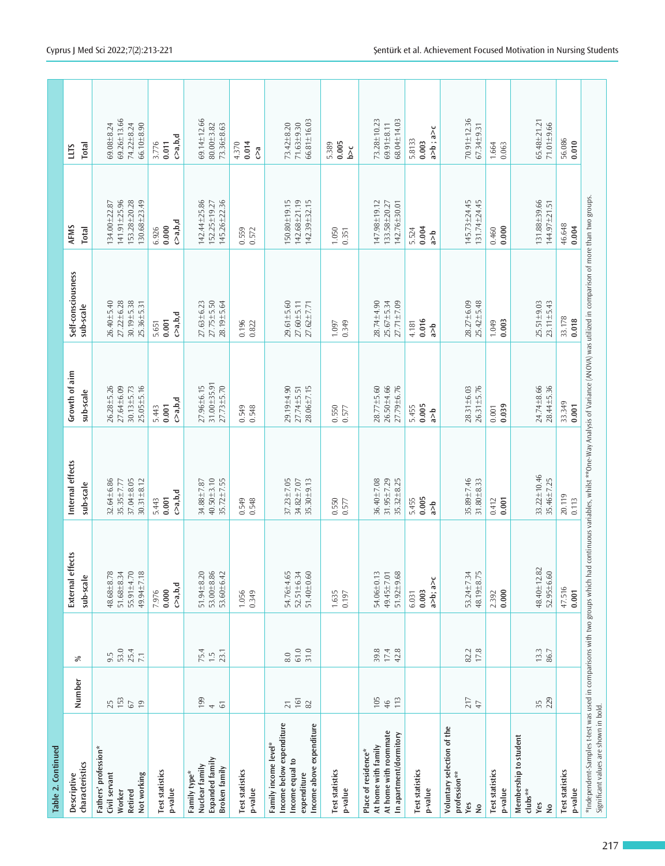| Table 2. Continued                                                                                                     |                                            |                                         |                                                      |                                                          |                                                                        |                                                                                                                         |                                                              |                                                                       |
|------------------------------------------------------------------------------------------------------------------------|--------------------------------------------|-----------------------------------------|------------------------------------------------------|----------------------------------------------------------|------------------------------------------------------------------------|-------------------------------------------------------------------------------------------------------------------------|--------------------------------------------------------------|-----------------------------------------------------------------------|
| characteristics<br>Descriptive                                                                                         | Number                                     | %                                       | External effects<br>sub-scale                        | Internal effects<br>sub-scale                            | Growth of aim<br>sub-scale                                             | Self-consciousness<br>sub-scale                                                                                         | AFMS<br>Total                                                | Total<br><b>LLTS</b>                                                  |
| Fathers' profession*<br>Civil servant<br>Not working<br>Worker<br>Retired                                              | $25$ $153$<br>$\sqrt{6}$<br>$\overline{0}$ | 53.0<br>25.4<br>$9.\overline{5}$<br>7.1 | 55.91±4.70<br>49.94±7.18<br>48.68±8.78<br>51.68±8.34 | 37.04±8.05<br>32.64±6.86<br>$30.31 + 8.12$<br>35.35±7.77 | $26.28 + 5.26$<br>$27.64 \pm 6.09$<br>$30.13 + 5.73$<br>$25.05 + 5.16$ | $26.40 + 5.40$<br>27.22±6.28<br>30.19±5.38<br>25.36±5.31                                                                | 141.91±25.96<br>153.28±20.28<br>130.68±23.49<br>134.00±22.87 | $69.26 \pm 13.66$<br>$69.08 \pm 8.24$<br>74.22±8.24<br>$66.10 + 8.90$ |
| <b>Test statistics</b><br>p-value                                                                                      |                                            |                                         | $c$ a, b,d<br>0.000<br>7.976                         | $c$ a,b,d<br>0.001<br>5.443                              | $c$ a, b,d<br>0.001<br>5.443                                           | $c$ a,b,d<br>0.001<br>5.651                                                                                             | $c$ a, b, d<br>0.000<br>6.926                                | $c$ a,b,d<br>3.776<br>0.011                                           |
| Expanded family<br>Nuclear family<br>Broken family<br>Family type*                                                     | 199<br>$\overline{6}$<br>$\rightarrow$     | 75.4<br>1.5<br>23.1                     | $51.94 \pm 8.20$<br>53.00 ± 8.86<br>53.60±6.42       | 40.50±3.10<br>$35.72 \pm 7.55$<br>34.88±7.87             | 31.00±35.91<br>$27.96 \pm 6.15$<br>27.73±5.70                          | $27.63 \pm 6.23$<br>27.75±5.50<br>28.19±5.64                                                                            | 142.44±25.86<br>145.26±22.36<br>152.25±19.27                 | $69.14 \pm 12.66$<br>80.00±3.82<br>73.36±8.63                         |
| <b>Test statistics</b><br>p-value                                                                                      |                                            |                                         | 1.056<br>0.349                                       | 0.548<br>0.549                                           | 0.549<br>0.548                                                         | 0.196<br>0.822                                                                                                          | 0.559<br>0.572                                               | 0.014<br>4.370<br>්ර                                                  |
| Income below expenditure<br>Income above expenditure<br>Family income level*<br>Income equal to<br>expenditure         | 161<br>$82\,$<br>$\overline{21}$           | 31.0<br>$61.0\,$<br>8.0                 | 54.76±4.65<br>$51.40 + 0.60$<br>52.51±6.34           | $37.23 \pm 7.05$<br>35.30±9.13<br>34.82±7.07             | 29.19±4.90<br>$28.06 + 7.15$<br>27.74±5.51                             | $29.61 \pm 5.60$<br>$27.60 + 5.11$<br>27.62±7.71                                                                        | 150.80±19.15<br>$142.68 + 21.19$<br>142.39±32.15             | $66.81 \pm 16.03$<br>73.42±8.20<br>71.63±9.30                         |
| <b>Test statistics</b><br>p-value                                                                                      |                                            |                                         | 1.635<br>0.197                                       | 0.550<br>0.577                                           | 0.550<br>0.577                                                         | 0.349<br>1.097                                                                                                          | 1.050<br>0.351                                               | 0.005<br>5.389<br>$\tilde{\Delta}$                                    |
| At home with roommate<br>In apartment/dormitory<br>At home with family<br>Place of residence*                          | 105<br>113<br>46                           | 39.8<br>$17.4$<br>42.8                  | 54.06±0.13<br>$51.92 + 9.68$<br>49.45±7.01           | 36.40±7.08<br>31.95±7.29<br>$35.32 \pm 8.25$             | 27.79±6.76<br>28.77±5.60<br>26.50±4.66                                 | $28.74 \pm 4.90$<br>27.71±7.09<br>$25.67 \pm 5.34$                                                                      | 147.98±19.12<br>142.76±30.01<br>133.58±20.27                 | 73.28±10.23<br>68.04±14.03<br>$69.91 \pm 8.11$                        |
| <b>Test statistics</b><br>p-value                                                                                      |                                            |                                         | a>b; a>c<br>0.003<br>6.031                           | 0.005<br>5.455<br>$\frac{q}{q}$                          | 0.005<br>5.455<br>$\frac{1}{6}$                                        | 0.016<br>4.181<br>$\frac{1}{6}$                                                                                         | 0.004<br>5.524<br>$\frac{1}{6}$                              | a>b; a>c<br>5.8133<br>0.003                                           |
| Voluntary selection of the<br>profession**<br>Yes<br>$\stackrel{\mathtt{o}}{\mathsf{z}}$                               | $\frac{217}{47}$                           | 82.2<br>17.8                            | 48.19±8.75<br>53.24±7.34                             | 35.89±7.46<br>$31.80 + 8.33$                             | $26.31 \pm 5.76$<br>28.31±6.03                                         | 28.27±6.09<br>$25.42 \pm 5.48$                                                                                          | 131.74±24.45<br>145.73±24.45                                 | 70.91±12.36<br>$67.34 \pm 9.31$                                       |
| <b>Test statistics</b><br>p-value                                                                                      |                                            |                                         | 0.000<br>2.392                                       | 0.001<br>0.412                                           | 0.039<br>$0.001$                                                       | 0.003<br>1.049                                                                                                          | 0.000<br>0.460                                               | 1.664<br>0.063                                                        |
| Membership to student<br>$clubs**$<br>Yes<br>$\frac{1}{2}$                                                             | 229<br>35                                  | 13.3<br>86.7                            | 48.40±12.82<br>52.95±6.60                            | 33.22±10.46<br>35.46±7.25                                | 24.74±8.66<br>28.44±5.36                                               | $25.51 \pm 9.03$<br>$23.11 \pm 5.43$                                                                                    | 131.88±39.66<br>144.97±21.51                                 | 65.48±21.21<br>$71.01 + 9.66$                                         |
| <b>Test statistics</b><br>p-value                                                                                      |                                            |                                         | 47.516<br>0.001                                      | 20.119<br>0.113                                          | 33.349<br>0.001                                                        | 33.178<br>0.018                                                                                                         | 46.648<br>0.004                                              | 56.086<br>0.010                                                       |
| *Independent-Samples t-test was used in comparisons with two groups which had<br>Significant values are shown in bold. |                                            |                                         |                                                      |                                                          |                                                                        | continuous variables, whilst **One-Way Analysis of Variance (ANOVA) was utilized in comparison of more than two groups. |                                                              |                                                                       |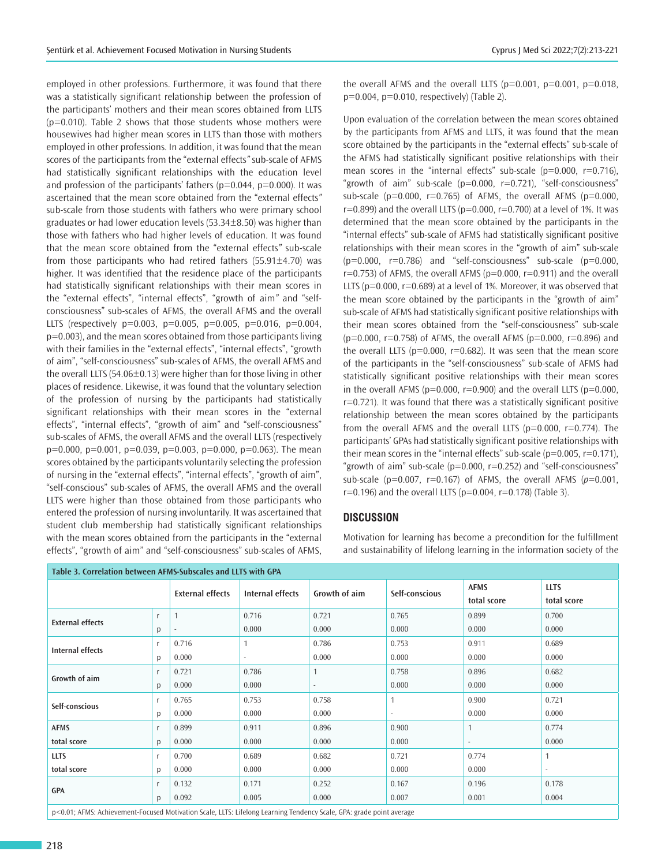employed in other professions. Furthermore, it was found that there was a statistically significant relationship between the profession of the participants' mothers and their mean scores obtained from LLTS (p=0.010). Table 2 shows that those students whose mothers were housewives had higher mean scores in LLTS than those with mothers employed in other professions. In addition, it was found that the mean scores of the participants from the "external effects*"* sub-scale of AFMS had statistically significant relationships with the education level and profession of the participants' fathers ( $p=0.044$ ,  $p=0.000$ ). It was ascertained that the mean score obtained from the "external effects*"* sub-scale from those students with fathers who were primary school graduates or had lower education levels (53.34±8.50) was higher than those with fathers who had higher levels of education. It was found that the mean score obtained from the "external effects*"* sub-scale from those participants who had retired fathers (55.91±4.70) was higher. It was identified that the residence place of the participants had statistically significant relationships with their mean scores in the "external effects", "internal effects", "growth of aim*"* and "selfconsciousness" sub-scales of AFMS, the overall AFMS and the overall LLTS (respectively  $p=0.003$ ,  $p=0.005$ ,  $p=0.005$ ,  $p=0.016$ ,  $p=0.004$ , p=0.003), and the mean scores obtained from those participants living with their families in the "external effects", "internal effects", "growth of aim", "self-consciousness" sub-scales of AFMS, the overall AFMS and the overall LLTS (54.06±0.13) were higher than for those living in other places of residence. Likewise, it was found that the voluntary selection of the profession of nursing by the participants had statistically significant relationships with their mean scores in the "external effects", "internal effects", "growth of aim" and "self-consciousness" sub-scales of AFMS, the overall AFMS and the overall LLTS (respectively  $p=0.000$ ,  $p=0.001$ ,  $p=0.039$ ,  $p=0.003$ ,  $p=0.000$ ,  $p=0.063$ ). The mean scores obtained by the participants voluntarily selecting the profession of nursing in the "external effects", "internal effects", "growth of aim", "self-conscious" sub-scales of AFMS, the overall AFMS and the overall LLTS were higher than those obtained from those participants who entered the profession of nursing involuntarily. It was ascertained that student club membership had statistically significant relationships with the mean scores obtained from the participants in the "external effects", "growth of aim" and "self-consciousness" sub-scales of AFMS,

the overall AFMS and the overall LLTS ( $p=0.001$ ,  $p=0.001$ ,  $p=0.018$ , p=0.004, p=0.010, respectively) (Table 2).

Upon evaluation of the correlation between the mean scores obtained by the participants from AFMS and LLTS, it was found that the mean score obtained by the participants in the "external effects" sub-scale of the AFMS had statistically significant positive relationships with their mean scores in the "internal effects" sub-scale ( $p=0.000$ ,  $r=0.716$ ), "growth of aim" sub-scale (p=0.000, r=0.721), "self-consciousness" sub-scale ( $p=0.000$ ,  $r=0.765$ ) of AFMS, the overall AFMS ( $p=0.000$ ,  $r=0.899$ ) and the overall LLTS ( $p=0.000$ ,  $r=0.700$ ) at a level of 1%. It was determined that the mean score obtained by the participants in the "internal effects" sub-scale of AFMS had statistically significant positive relationships with their mean scores in the "growth of aim" sub-scale  $(p=0.000, r=0.786)$  and "self-consciousness" sub-scale  $(p=0.000, r=0.066)$  $r=0.753$ ) of AFMS, the overall AFMS ( $p=0.000$ ,  $r=0.911$ ) and the overall LLTS ( $p=0.000$ ,  $r=0.689$ ) at a level of 1%. Moreover, it was observed that the mean score obtained by the participants in the "growth of aim" sub-scale of AFMS had statistically significant positive relationships with their mean scores obtained from the "self-consciousness" sub-scale  $(p=0.000, r=0.758)$  of AFMS, the overall AFMS  $(p=0.000, r=0.896)$  and the overall LLTS ( $p=0.000$ ,  $r=0.682$ ). It was seen that the mean score of the participants in the "self-consciousness" sub-scale of AFMS had statistically significant positive relationships with their mean scores in the overall AFMS ( $p=0.000$ ,  $r=0.900$ ) and the overall LLTS ( $p=0.000$ , r=0.721). It was found that there was a statistically significant positive relationship between the mean scores obtained by the participants from the overall AFMS and the overall LLTS ( $p=0.000$ ,  $r=0.774$ ). The participants' GPAs had statistically significant positive relationships with their mean scores in the "internal effects" sub-scale ( $p=0.005$ ,  $r=0.171$ ), "growth of aim" sub-scale (p=0.000, r=0.252) and "self-consciousness" sub-scale ( $p=0.007$ ,  $r=0.167$ ) of AFMS, the overall AFMS ( $p=0.001$ ,  $r=0.196$ ) and the overall LLTS ( $p=0.004$ ,  $r=0.178$ ) (Table 3).

### **DISCUSSION**

Motivation for learning has become a precondition for the fulfillment and sustainability of lifelong learning in the information society of the

| Table 3. Correlation between AFMS-Subscales and LLTS with GPA                                                     |              |                         |                  |                          |                |              |              |  |
|-------------------------------------------------------------------------------------------------------------------|--------------|-------------------------|------------------|--------------------------|----------------|--------------|--------------|--|
|                                                                                                                   |              | <b>External effects</b> | Internal effects | Growth of aim            | Self-conscious | <b>AFMS</b>  | <b>LLTS</b>  |  |
|                                                                                                                   |              |                         |                  |                          |                | total score  | total score  |  |
| <b>External effects</b>                                                                                           |              |                         | 0.716            | 0.721                    | 0.765          | 0.899        | 0.700        |  |
|                                                                                                                   | p            |                         | 0.000            | 0.000                    | 0.000          | 0.000        | 0.000        |  |
| Internal effects                                                                                                  |              | 0.716                   |                  | 0.786                    | 0.753          | 0.911        | 0.689        |  |
|                                                                                                                   | p            | 0.000                   | $\sim$           | 0.000                    | 0.000          | 0.000        | 0.000        |  |
| Growth of aim                                                                                                     |              | 0.721                   | 0.786            |                          | 0.758          | 0.896        | 0.682        |  |
|                                                                                                                   | p            | 0.000                   | 0.000            | $\overline{\phantom{a}}$ | 0.000          | 0.000        | 0.000        |  |
| Self-conscious                                                                                                    |              | 0.765                   | 0.753            | 0.758                    | 1              | 0.900        | 0.721        |  |
|                                                                                                                   | p            | 0.000                   | 0.000            | 0.000                    | $\sim$         | 0.000        | 0.000        |  |
| <b>AFMS</b>                                                                                                       |              | 0.899                   | 0.911            | 0.896                    | 0.900          | $\mathbf{1}$ | 0.774        |  |
| total score                                                                                                       | $\mathsf{D}$ | 0.000                   | 0.000            | 0.000                    | 0.000          |              | 0.000        |  |
| <b>LLTS</b>                                                                                                       |              | 0.700                   | 0.689            | 0.682                    | 0.721          | 0.774        | $\mathbf{1}$ |  |
| total score                                                                                                       | p            | 0.000                   | 0.000            | 0.000                    | 0.000          | 0.000        | $\sim$       |  |
|                                                                                                                   |              | 0.132                   | 0.171            | 0.252                    | 0.167          | 0.196        | 0.178        |  |
| <b>GPA</b>                                                                                                        | D            | 0.092                   | 0.005            | 0.000                    | 0.007          | 0.001        | 0.004        |  |
| n<0.01; AEMS; Achiovament Fecused Metustion Scale LUTS; Lifeleng Learning Tendency Scale CBA; grade point average |              |                         |                  |                          |                |              |              |  |

p<0.01; AFMS: Achievement-Focused Motivation Scale, LLTS: Lifelong Learning Tendency Scale, GPA: grade point average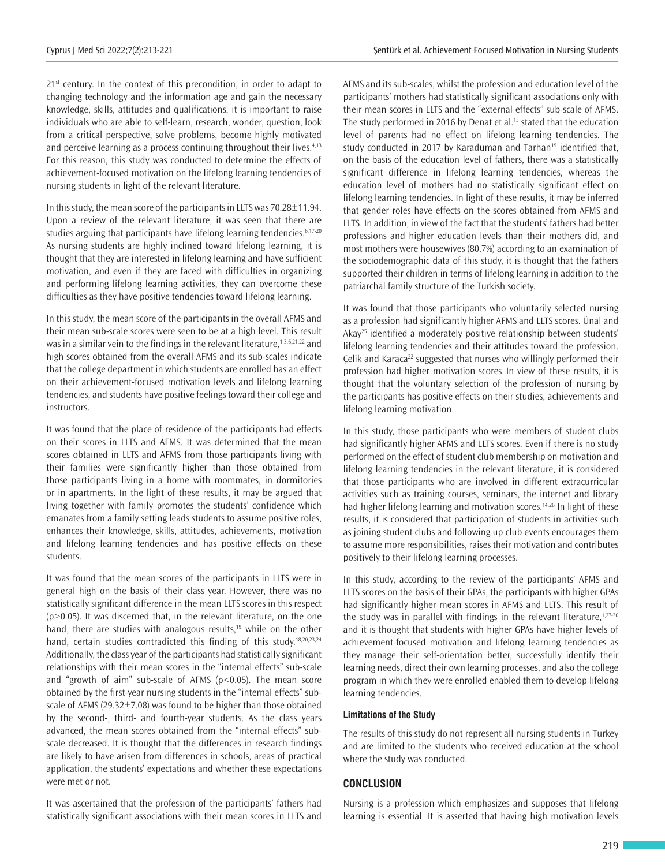$21<sup>st</sup>$  century. In the context of this precondition, in order to adapt to changing technology and the information age and gain the necessary knowledge, skills, attitudes and qualifications, it is important to raise individuals who are able to self-learn, research, wonder, question, look from a critical perspective, solve problems, become highly motivated and perceive learning as a process continuing throughout their lives.<sup>4,13</sup> For this reason, this study was conducted to determine the effects of achievement-focused motivation on the lifelong learning tendencies of nursing students in light of the relevant literature.

In this study, the mean score of the participants in LLTS was 70.28±11.94. Upon a review of the relevant literature, it was seen that there are studies arguing that participants have lifelong learning tendencies.<sup>6,17-20</sup> As nursing students are highly inclined toward lifelong learning, it is thought that they are interested in lifelong learning and have sufficient motivation, and even if they are faced with difficulties in organizing and performing lifelong learning activities, they can overcome these difficulties as they have positive tendencies toward lifelong learning.

In this study, the mean score of the participants in the overall AFMS and their mean sub-scale scores were seen to be at a high level. This result was in a similar vein to the findings in the relevant literature,<sup>1-3,6,21,22</sup> and high scores obtained from the overall AFMS and its sub-scales indicate that the college department in which students are enrolled has an effect on their achievement-focused motivation levels and lifelong learning tendencies, and students have positive feelings toward their college and instructors.

It was found that the place of residence of the participants had effects on their scores in LLTS and AFMS. It was determined that the mean scores obtained in LLTS and AFMS from those participants living with their families were significantly higher than those obtained from those participants living in a home with roommates, in dormitories or in apartments. In the light of these results, it may be argued that living together with family promotes the students' confidence which emanates from a family setting leads students to assume positive roles, enhances their knowledge, skills, attitudes, achievements, motivation and lifelong learning tendencies and has positive effects on these students.

It was found that the mean scores of the participants in LLTS were in general high on the basis of their class year. However, there was no statistically significant difference in the mean LLTS scores in this respect  $(p>0.05)$ . It was discerned that, in the relevant literature, on the one hand, there are studies with analogous results,<sup>19</sup> while on the other hand, certain studies contradicted this finding of this study.<sup>18,20,23,24</sup> Additionally, the class year of the participants had statistically significant relationships with their mean scores in the "internal effects" sub-scale and "growth of aim" sub-scale of AFMS ( $p$ <0.05). The mean score obtained by the first-year nursing students in the "internal effects" subscale of AFMS (29.32 $\pm$ 7.08) was found to be higher than those obtained by the second-, third- and fourth-year students. As the class years advanced, the mean scores obtained from the "internal effects" subscale decreased. It is thought that the differences in research findings are likely to have arisen from differences in schools, areas of practical application, the students' expectations and whether these expectations were met or not.

It was ascertained that the profession of the participants' fathers had statistically significant associations with their mean scores in LLTS and

AFMS and its sub-scales, whilst the profession and education level of the participants' mothers had statistically significant associations only with their mean scores in LLTS and the "external effects" sub-scale of AFMS. The study performed in 2016 by Denat et al.<sup>13</sup> stated that the education level of parents had no effect on lifelong learning tendencies. The study conducted in 2017 by Karaduman and Tarhan<sup>19</sup> identified that, on the basis of the education level of fathers, there was a statistically significant difference in lifelong learning tendencies, whereas the education level of mothers had no statistically significant effect on lifelong learning tendencies. In light of these results, it may be inferred that gender roles have effects on the scores obtained from AFMS and LLTS. In addition, in view of the fact that the students' fathers had better professions and higher education levels than their mothers did, and most mothers were housewives (80.7%) according to an examination of the sociodemographic data of this study, it is thought that the fathers supported their children in terms of lifelong learning in addition to the patriarchal family structure of the Turkish society.

It was found that those participants who voluntarily selected nursing as a profession had significantly higher AFMS and LLTS scores. Ünal and Akay<sup>25</sup> identified a moderately positive relationship between students' lifelong learning tendencies and their attitudes toward the profession. Çelik and Karaca<sup>22</sup> suggested that nurses who willingly performed their profession had higher motivation scores. In view of these results, it is thought that the voluntary selection of the profession of nursing by the participants has positive effects on their studies, achievements and lifelong learning motivation.

In this study, those participants who were members of student clubs had significantly higher AFMS and LLTS scores. Even if there is no study performed on the effect of student club membership on motivation and lifelong learning tendencies in the relevant literature, it is considered that those participants who are involved in different extracurricular activities such as training courses, seminars, the internet and library had higher lifelong learning and motivation scores.<sup>14,26</sup> In light of these results, it is considered that participation of students in activities such as joining student clubs and following up club events encourages them to assume more responsibilities, raises their motivation and contributes positively to their lifelong learning processes.

In this study, according to the review of the participants' AFMS and LLTS scores on the basis of their GPAs, the participants with higher GPAs had significantly higher mean scores in AFMS and LLTS. This result of the study was in parallel with findings in the relevant literature, $1,27-30$ and it is thought that students with higher GPAs have higher levels of achievement-focused motivation and lifelong learning tendencies as they manage their self-orientation better, successfully identify their learning needs, direct their own learning processes, and also the college program in which they were enrolled enabled them to develop lifelong learning tendencies.

#### **Limitations of the Study**

The results of this study do not represent all nursing students in Turkey and are limited to the students who received education at the school where the study was conducted.

## **CONCLUSION**

Nursing is a profession which emphasizes and supposes that lifelong learning is essential. It is asserted that having high motivation levels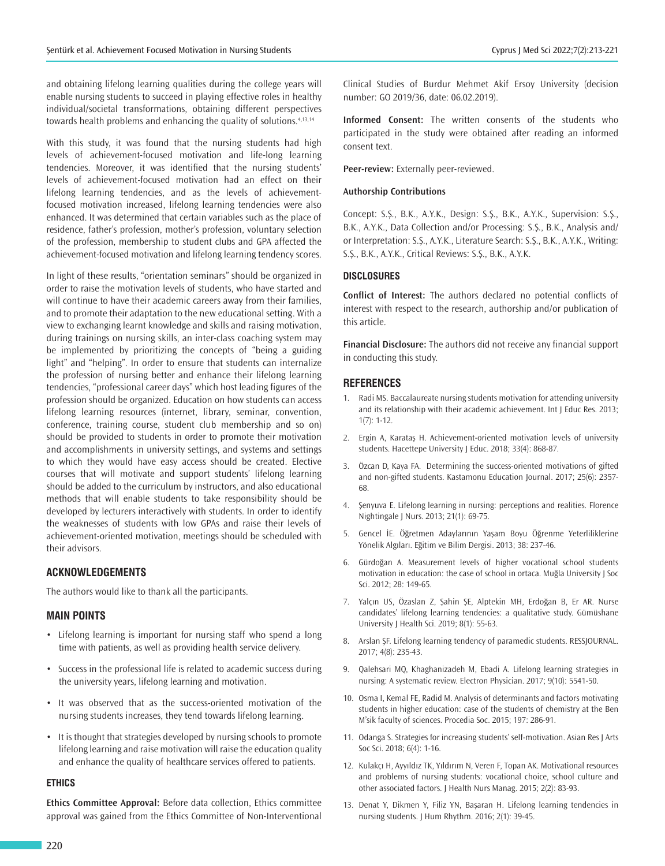and obtaining lifelong learning qualities during the college years will enable nursing students to succeed in playing effective roles in healthy individual/societal transformations, obtaining different perspectives towards health problems and enhancing the quality of solutions.<sup>4,13,14</sup>

With this study, it was found that the nursing students had high levels of achievement-focused motivation and life-long learning tendencies. Moreover, it was identified that the nursing students' levels of achievement-focused motivation had an effect on their lifelong learning tendencies, and as the levels of achievementfocused motivation increased, lifelong learning tendencies were also enhanced. It was determined that certain variables such as the place of residence, father's profession, mother's profession, voluntary selection of the profession, membership to student clubs and GPA affected the achievement-focused motivation and lifelong learning tendency scores.

In light of these results, "orientation seminars" should be organized in order to raise the motivation levels of students, who have started and will continue to have their academic careers away from their families, and to promote their adaptation to the new educational setting. With a view to exchanging learnt knowledge and skills and raising motivation, during trainings on nursing skills, an inter-class coaching system may be implemented by prioritizing the concepts of "being a guiding light" and "helping". In order to ensure that students can internalize the profession of nursing better and enhance their lifelong learning tendencies, "professional career days" which host leading figures of the profession should be organized. Education on how students can access lifelong learning resources (internet, library, seminar, convention, conference, training course, student club membership and so on) should be provided to students in order to promote their motivation and accomplishments in university settings, and systems and settings to which they would have easy access should be created. Elective courses that will motivate and support students' lifelong learning should be added to the curriculum by instructors, and also educational methods that will enable students to take responsibility should be developed by lecturers interactively with students. In order to identify the weaknesses of students with low GPAs and raise their levels of achievement-oriented motivation, meetings should be scheduled with their advisors.

# **ACKNOWLEDGEMENTS**

The authors would like to thank all the participants.

## **MAIN POINTS**

- Lifelong learning is important for nursing staff who spend a long time with patients, as well as providing health service delivery.
- Success in the professional life is related to academic success during the university years, lifelong learning and motivation.
- It was observed that as the success-oriented motivation of the nursing students increases, they tend towards lifelong learning.
- It is thought that strategies developed by nursing schools to promote lifelong learning and raise motivation will raise the education quality and enhance the quality of healthcare services offered to patients.

#### **ETHICS**

**Ethics Committee Approval:** Before data collection, Ethics committee approval was gained from the Ethics Committee of Non-Interventional

Clinical Studies of Burdur Mehmet Akif Ersoy University (decision number: GO 2019/36, date: 06.02.2019).

**Informed Consent:** The written consents of the students who participated in the study were obtained after reading an informed consent text.

**Peer-review:** Externally peer-reviewed.

#### **Authorship Contributions**

Concept: S.Ş., B.K., A.Y.K., Design: S.Ş., B.K., A.Y.K., Supervision: S.Ş., B.K., A.Y.K., Data Collection and/or Processing: S.Ş., B.K., Analysis and/ or Interpretation: S.Ş., A.Y.K., Literature Search: S.Ş., B.K., A.Y.K., Writing: S.Ş., B.K., A.Y.K., Critical Reviews: S.Ş., B.K., A.Y.K.

#### **DISCLOSURES**

**Conflict of Interest:** The authors declared no potential conflicts of interest with respect to the research, authorship and/or publication of this article.

**Financial Disclosure:** The authors did not receive any financial support in conducting this study.

#### **REFERENCES**

- 1. Radi MS. Baccalaureate nursing students motivation for attending university and its relationship with their academic achievement. Int J Educ Res. 2013; 1(7): 1-12.
- 2. Ergin A, Karataş H. Achievement-oriented motivation levels of university students. Hacettepe University J Educ. 2018; 33(4): 868-87.
- 3. Özcan D, Kaya FA. Determining the success-oriented motivations of gifted and non-gifted students. Kastamonu Education Journal. 2017; 25(6): 2357- 68.
- 4. Şenyuva E. Lifelong learning in nursing: perceptions and realities. Florence Nightingale J Nurs. 2013; 21(1): 69-75.
- 5. Gencel İE. Öğretmen Adaylarının Yaşam Boyu Öğrenme Yeterliliklerine Yönelik Algıları. Eğitim ve Bilim Dergisi. 2013; 38: 237-46.
- 6. Gürdoğan A. Measurement levels of higher vocational school students motivation in education: the case of school in ortaca. Muğla University J Soc Sci. 2012; 28: 149-65.
- 7. Yalçın US, Özaslan Z, Şahin ŞE, Alptekin MH, Erdoğan B, Er AR. Nurse candidates' lifelong learning tendencies: a qualitative study. Gümüshane University J Health Sci. 2019; 8(1): 55-63.
- 8. Arslan ŞF. Lifelong learning tendency of paramedic students. RESSJOURNAL. 2017; 4(8): 235-43.
- 9. Qalehsari MQ, Khaghanizadeh M, Ebadi A. Lifelong learning strategies in nursing: A systematic review. Electron Physician. 2017; 9(10): 5541-50.
- 10. Osma I, Kemal FE, Radid M. Analysis of determinants and factors motivating students in higher education: case of the students of chemistry at the Ben M'sik faculty of sciences. Procedia Soc. 2015; 197: 286-91.
- 11. Odanga S. Strategies for increasing students' self-motivation. Asian Res J Arts Soc Sci. 2018; 6(4): 1-16.
- 12. Kulakçı H, Ayyıldız TK, Yıldırım N, Veren F, Topan AK. Motivational resources and problems of nursing students: vocational choice, school culture and other associated factors. J Health Nurs Manag. 2015; 2(2): 83-93.
- 13. Denat Y, Dikmen Y, Filiz YN, Başaran H. Lifelong learning tendencies in nursing students. J Hum Rhythm. 2016; 2(1): 39-45.